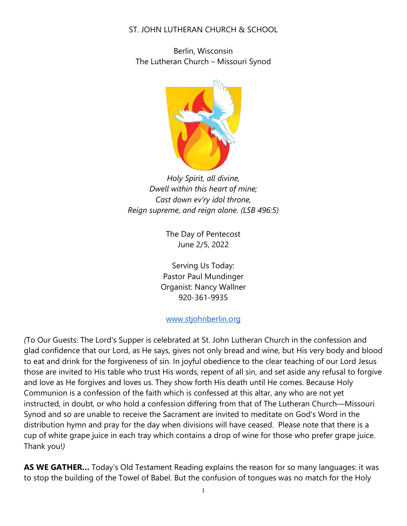#### ST. JOHN LUTHERAN CHURCH & SCHOOL

Berlin, Wisconsin The Lutheran Church – Missouri Synod



*Holy Spirit, all divine, Dwell within this heart of mine; Cast down ev'ry idol throne, Reign supreme, and reign alone. (LSB 496:5)*

> The Day of Pentecost June 2/5, 2022

Serving Us Today: Pastor Paul Mundinger Organist: Nancy Wallner 920-361-9935

#### [www.stjohnberlin.org](http://www.stjohnberlin.org/)

*(*To Our Guests: The Lord's Supper is celebrated at St. John Lutheran Church in the confession and glad confidence that our Lord, as He says, gives not only bread and wine, but His very body and blood to eat and drink for the forgiveness of sin. In joyful obedience to the clear teaching of our Lord Jesus those are invited to His table who trust His words, repent of all sin, and set aside any refusal to forgive and love as He forgives and loves us. They show forth His death until He comes. Because Holy Communion is a confession of the faith which is confessed at this altar, any who are not yet instructed, in doubt, or who hold a confession differing from that of The Lutheran Church—Missouri Synod and so are unable to receive the Sacrament are invited to meditate on God's Word in the distribution hymn and pray for the day when divisions will have ceased. Please note that there is a cup of white grape juice in each tray which contains a drop of wine for those who prefer grape juice. Thank you!*)*

**AS WE GATHER…** Today's Old Testament Reading explains the reason for so many languages: it was to stop the building of the Towel of Babel. But the confusion of tongues was no match for the Holy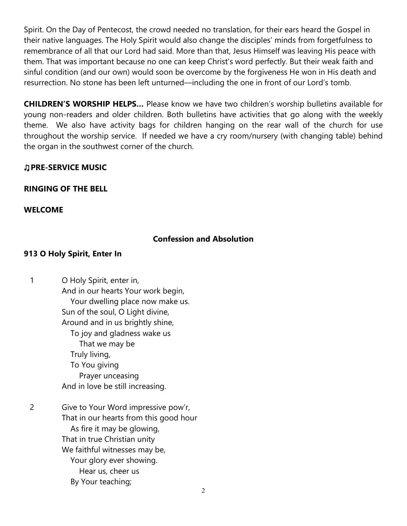Spirit. On the Day of Pentecost, the crowd needed no translation, for their ears heard the Gospel in their native languages. The Holy Spirit would also change the disciples' minds from forgetfulness to remembrance of all that our Lord had said. More than that, Jesus Himself was leaving His peace with them. That was important because no one can keep Christ's word perfectly. But their weak faith and sinful condition (and our own) would soon be overcome by the forgiveness He won in His death and resurrection. No stone has been left unturned—including the one in front of our Lord's tomb.

**CHILDREN'S WORSHIP HELPS…** Please know we have two children's worship bulletins available for young non-readers and older children. Both bulletins have activities that go along with the weekly theme. We also have activity bags for children hanging on the rear wall of the church for use throughout the worship service. If needed we have a cry room/nursery (with changing table) behind the organ in the southwest corner of the church.

#### ♫**PRE-SERVICE MUSIC**

#### **RINGING OF THE BELL**

#### **WELCOME**

### **Confession and Absolution**

#### **913 O Holy Spirit, Enter In**

- 1 O Holy Spirit, enter in, And in our hearts Your work begin, Your dwelling place now make us. Sun of the soul, O Light divine, Around and in us brightly shine, To joy and gladness wake us That we may be Truly living, To You giving Prayer unceasing And in love be still increasing. 2 Give to Your Word impressive pow'r, That in our hearts from this good hour As fire it may be glowing, That in true Christian unity
	- We faithful witnesses may be, Your glory ever showing. Hear us, cheer us By Your teaching;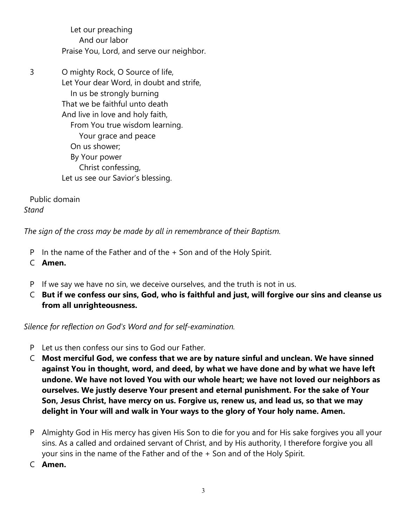Let our preaching And our labor Praise You, Lord, and serve our neighbor.

3 O mighty Rock, O Source of life, Let Your dear Word, in doubt and strife, In us be strongly burning That we be faithful unto death And live in love and holy faith, From You true wisdom learning. Your grace and peace On us shower; By Your power Christ confessing, Let us see our Savior's blessing.

Public domain *Stand*

*The sign of the cross may be made by all in remembrance of their Baptism.*

- P In the name of the Father and of the + Son and of the Holy Spirit.
- C **Amen.**
- P If we say we have no sin, we deceive ourselves, and the truth is not in us.
- C **But if we confess our sins, God, who is faithful and just, will forgive our sins and cleanse us from all unrighteousness.**

*Silence for reflection on God's Word and for self-examination.*

- P Let us then confess our sins to God our Father.
- C **Most merciful God, we confess that we are by nature sinful and unclean. We have sinned against You in thought, word, and deed, by what we have done and by what we have left undone. We have not loved You with our whole heart; we have not loved our neighbors as ourselves. We justly deserve Your present and eternal punishment. For the sake of Your Son, Jesus Christ, have mercy on us. Forgive us, renew us, and lead us, so that we may delight in Your will and walk in Your ways to the glory of Your holy name. Amen.**
- P Almighty God in His mercy has given His Son to die for you and for His sake forgives you all your sins. As a called and ordained servant of Christ, and by His authority, I therefore forgive you all your sins in the name of the Father and of the + Son and of the Holy Spirit.
- C **Amen.**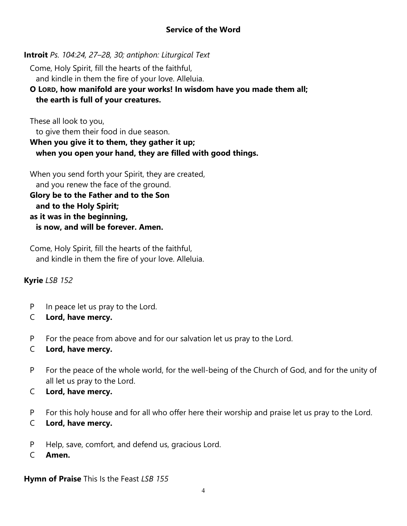**Introit** *Ps. 104:24, 27–28, 30; antiphon: Liturgical Text*

Come, Holy Spirit, fill the hearts of the faithful, and kindle in them the fire of your love. Alleluia.

# **O LORD, how manifold are your works! In wisdom have you made them all; the earth is full of your creatures.**

These all look to you, to give them their food in due season. **When you give it to them, they gather it up; when you open your hand, they are filled with good things.**

When you send forth your Spirit, they are created, and you renew the face of the ground.

**Glory be to the Father and to the Son and to the Holy Spirit; as it was in the beginning, is now, and will be forever. Amen.**

Come, Holy Spirit, fill the hearts of the faithful, and kindle in them the fire of your love. Alleluia.

# **Kyrie** *LSB 152*

- P In peace let us pray to the Lord.
- C **Lord, have mercy.**
- P For the peace from above and for our salvation let us pray to the Lord.
- C **Lord, have mercy.**
- P For the peace of the whole world, for the well-being of the Church of God, and for the unity of all let us pray to the Lord.
- C **Lord, have mercy.**
- P For this holy house and for all who offer here their worship and praise let us pray to the Lord.
- C **Lord, have mercy.**
- P Help, save, comfort, and defend us, gracious Lord.
- C **Amen.**

**Hymn of Praise** This Is the Feast *LSB 155*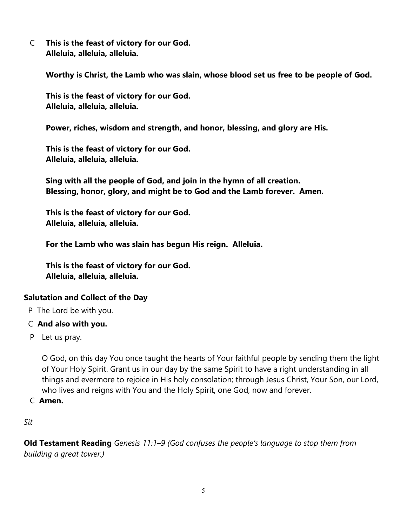C **This is the feast of victory for our God. Alleluia, alleluia, alleluia.**

**Worthy is Christ, the Lamb who was slain, whose blood set us free to be people of God.**

**This is the feast of victory for our God. Alleluia, alleluia, alleluia.**

**Power, riches, wisdom and strength, and honor, blessing, and glory are His.**

**This is the feast of victory for our God. Alleluia, alleluia, alleluia.**

**Sing with all the people of God, and join in the hymn of all creation. Blessing, honor, glory, and might be to God and the Lamb forever. Amen.**

**This is the feast of victory for our God. Alleluia, alleluia, alleluia.**

**For the Lamb who was slain has begun His reign. Alleluia.**

**This is the feast of victory for our God. Alleluia, alleluia, alleluia.**

# **Salutation and Collect of the Day**

P The Lord be with you.

#### C **And also with you.**

P Let us pray.

O God, on this day You once taught the hearts of Your faithful people by sending them the light of Your Holy Spirit. Grant us in our day by the same Spirit to have a right understanding in all things and evermore to rejoice in His holy consolation; through Jesus Christ, Your Son, our Lord, who lives and reigns with You and the Holy Spirit, one God, now and forever.

C **Amen.**

*Sit*

**Old Testament Reading** *Genesis 11:1–9 (God confuses the people's language to stop them from building a great tower.)*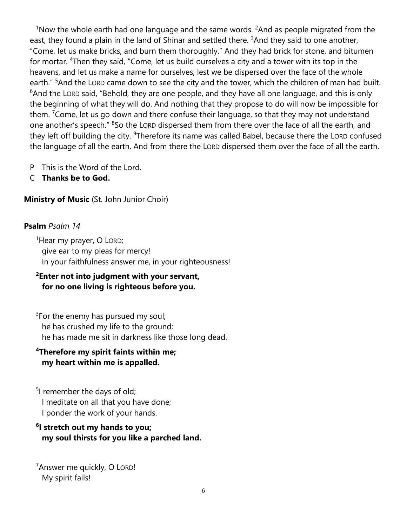<sup>1</sup>Now the whole earth had one language and the same words. <sup>2</sup>And as people migrated from the east, they found a plain in the land of Shinar and settled there. <sup>3</sup>And they said to one another, "Come, let us make bricks, and burn them thoroughly." And they had brick for stone, and bitumen for mortar. <sup>4</sup>Then they said, "Come, let us build ourselves a city and a tower with its top in the heavens, and let us make a name for ourselves, lest we be dispersed over the face of the whole earth." <sup>5</sup>And the LORD came down to see the city and the tower, which the children of man had built.  $6$ And the LORD said, "Behold, they are one people, and they have all one language, and this is only the beginning of what they will do. And nothing that they propose to do will now be impossible for them. <sup>7</sup>Come, let us go down and there confuse their language, so that they may not understand one another's speech." <sup>8</sup>So the Loro dispersed them from there over the face of all the earth, and they left off building the city. <sup>9</sup>Therefore its name was called Babel, because there the LORD confused the language of all the earth. And from there the LORD dispersed them over the face of all the earth.

- P This is the Word of the Lord.
- C **Thanks be to God.**

# **Ministry of Music** (St. John Junior Choir)

#### **Psalm** *Psalm 14*

<sup>1</sup>Hear my prayer, O LORD; give ear to my pleas for mercy! In your faithfulness answer me, in your righteousness!

# **2Enter not into judgment with your servant, for no one living is righteous before you.**

<sup>3</sup>For the enemy has pursued my soul; he has crushed my life to the ground; he has made me sit in darkness like those long dead.

### **4Therefore my spirit faints within me; my heart within me is appalled.**

<sup>5</sup>I remember the days of old; I meditate on all that you have done; I ponder the work of your hands.

# **6I stretch out my hands to you; my soul thirsts for you like a parched land.**

<sup>7</sup>Answer me quickly, O LORD! My spirit fails!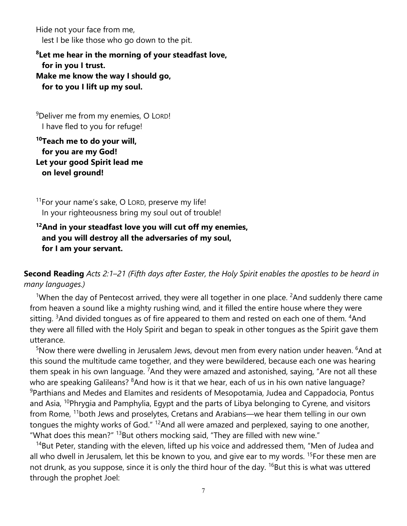Hide not your face from me, lest I be like those who go down to the pit.

**8Let me hear in the morning of your steadfast love, for in you I trust. Make me know the way I should go, for to you I lift up my soul.**

 $^9$ Deliver me from my enemies, O Lor $\scriptstyle\rm D$ ! I have fled to you for refuge!

**10Teach me to do your will, for you are my God! Let your good Spirit lead me on level ground!**

<sup>11</sup>For your name's sake, O LORD, preserve my life! In your righteousness bring my soul out of trouble!

### **12And in your steadfast love you will cut off my enemies, and you will destroy all the adversaries of my soul, for I am your servant.**

**Second Reading** *Acts 2:1–21 (Fifth days after Easter, the Holy Spirit enables the apostles to be heard in many languages.)*

<sup>1</sup>When the day of Pentecost arrived, they were all together in one place. <sup>2</sup>And suddenly there came from heaven a sound like a mighty rushing wind, and it filled the entire house where they were sitting. <sup>3</sup>And divided tongues as of fire appeared to them and rested on each one of them. <sup>4</sup>And they were all filled with the Holy Spirit and began to speak in other tongues as the Spirit gave them utterance.

 $5$ Now there were dwelling in Jerusalem Jews, devout men from every nation under heaven.  $6$ And at this sound the multitude came together, and they were bewildered, because each one was hearing them speak in his own language. <sup>7</sup>And they were amazed and astonished, saying, "Are not all these who are speaking Galileans? <sup>8</sup>And how is it that we hear, each of us in his own native language? <sup>9</sup>Parthians and Medes and Elamites and residents of Mesopotamia, Judea and Cappadocia, Pontus and Asia, <sup>10</sup>Phrygia and Pamphylia, Egypt and the parts of Libya belonging to Cyrene, and visitors from Rome, <sup>11</sup>both Jews and proselytes, Cretans and Arabians—we hear them telling in our own tongues the mighty works of God."  $^{12}$ And all were amazed and perplexed, saying to one another, "What does this mean?" 13But others mocking said, "They are filled with new wine."

 $14$ But Peter, standing with the eleven, lifted up his voice and addressed them, "Men of Judea and all who dwell in Jerusalem, let this be known to you, and give ear to my words. <sup>15</sup>For these men are not drunk, as you suppose, since it is only the third hour of the day. <sup>16</sup>But this is what was uttered through the prophet Joel: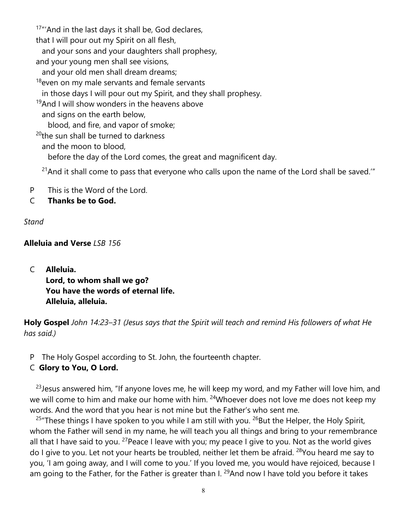$17''$ 'And in the last days it shall be, God declares,

that I will pour out my Spirit on all flesh,

and your sons and your daughters shall prophesy,

and your young men shall see visions,

and your old men shall dream dreams;

 $18$ even on my male servants and female servants

in those days I will pour out my Spirit, and they shall prophesy.

<sup>19</sup> And I will show wonders in the heavens above

and signs on the earth below,

blood, and fire, and vapor of smoke;

 $20$ the sun shall be turned to darkness

and the moon to blood,

before the day of the Lord comes, the great and magnificent day.

 $21$ And it shall come to pass that everyone who calls upon the name of the Lord shall be saved.<sup>""</sup>

P This is the Word of the Lord.

C **Thanks be to God.**

*Stand*

# **Alleluia and Verse** *LSB 156*

C **Alleluia. Lord, to whom shall we go? You have the words of eternal life. Alleluia, alleluia.**

**Holy Gospel** *John 14:23–31 (Jesus says that the Spirit will teach and remind His followers of what He has said.)*

P The Holy Gospel according to St. John, the fourteenth chapter.

# C **Glory to You, O Lord.**

<sup>23</sup> Jesus answered him, "If anyone loves me, he will keep my word, and my Father will love him, and we will come to him and make our home with him. <sup>24</sup>Whoever does not love me does not keep my words. And the word that you hear is not mine but the Father's who sent me.

<sup>25</sup> These things I have spoken to you while I am still with you. <sup>26</sup>But the Helper, the Holy Spirit, whom the Father will send in my name, he will teach you all things and bring to your remembrance all that I have said to you. <sup>27</sup> Peace I leave with you; my peace I give to you. Not as the world gives do I give to you. Let not your hearts be troubled, neither let them be afraid. <sup>28</sup>You heard me say to you, 'I am going away, and I will come to you.' If you loved me, you would have rejoiced, because I am going to the Father, for the Father is greater than I.<sup>29</sup>And now I have told you before it takes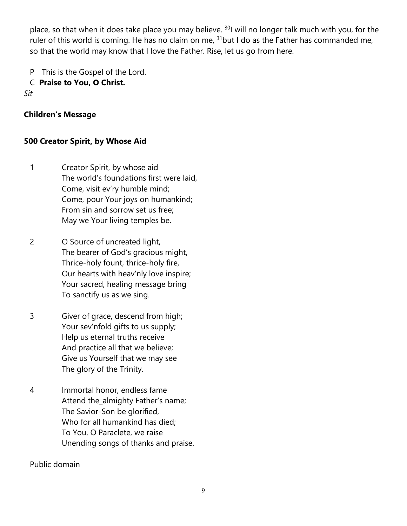place, so that when it does take place you may believe.  $30$ I will no longer talk much with you, for the ruler of this world is coming. He has no claim on me,  $31$  but I do as the Father has commanded me, so that the world may know that I love the Father. Rise, let us go from here.

P This is the Gospel of the Lord.

# C **Praise to You, O Christ.**

*Sit*

# **Children's Message**

# **500 Creator Spirit, by Whose Aid**

- 1 Creator Spirit, by whose aid The world's foundations first were laid, Come, visit ev'ry humble mind; Come, pour Your joys on humankind; From sin and sorrow set us free; May we Your living temples be.
- 2 O Source of uncreated light, The bearer of God's gracious might, Thrice-holy fount, thrice-holy fire, Our hearts with heav'nly love inspire; Your sacred, healing message bring To sanctify us as we sing.
- 3 Giver of grace, descend from high; Your sev'nfold gifts to us supply; Help us eternal truths receive And practice all that we believe; Give us Yourself that we may see The glory of the Trinity.
- 4 Immortal honor, endless fame Attend the\_almighty Father's name; The Savior-Son be glorified, Who for all humankind has died; To You, O Paraclete, we raise Unending songs of thanks and praise.

#### Public domain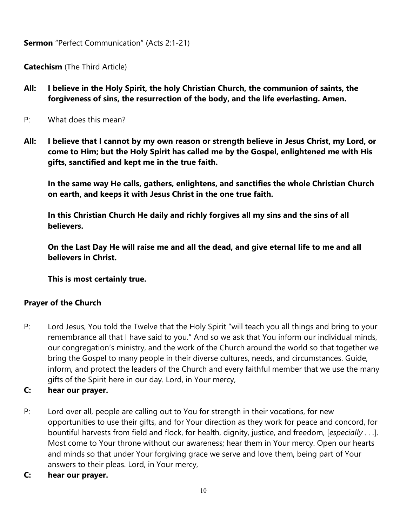**Sermon** "Perfect Communication" (Acts 2:1-21)

**Catechism** (The Third Article)

- **All: I believe in the Holy Spirit, the holy Christian Church, the communion of saints, the forgiveness of sins, the resurrection of the body, and the life everlasting. Amen.**
- P: What does this mean?
- **All: I believe that I cannot by my own reason or strength believe in Jesus Christ, my Lord, or come to Him; but the Holy Spirit has called me by the Gospel, enlightened me with His gifts, sanctified and kept me in the true faith.**

**In the same way He calls, gathers, enlightens, and sanctifies the whole Christian Church on earth, and keeps it with Jesus Christ in the one true faith.**

**In this Christian Church He daily and richly forgives all my sins and the sins of all believers.**

**On the Last Day He will raise me and all the dead, and give eternal life to me and all believers in Christ.**

**This is most certainly true.**

#### **Prayer of the Church**

P: Lord Jesus, You told the Twelve that the Holy Spirit "will teach you all things and bring to your remembrance all that I have said to you." And so we ask that You inform our individual minds, our congregation's ministry, and the work of the Church around the world so that together we bring the Gospel to many people in their diverse cultures, needs, and circumstances. Guide, inform, and protect the leaders of the Church and every faithful member that we use the many gifts of the Spirit here in our day. Lord, in Your mercy,

#### **C: hear our prayer.**

- P: Lord over all, people are calling out to You for strength in their vocations, for new opportunities to use their gifts, and for Your direction as they work for peace and concord, for bountiful harvests from field and flock, for health, dignity, justice, and freedom, [*especially . . .*]. Most come to Your throne without our awareness; hear them in Your mercy. Open our hearts and minds so that under Your forgiving grace we serve and love them, being part of Your answers to their pleas. Lord, in Your mercy,
- **C: hear our prayer.**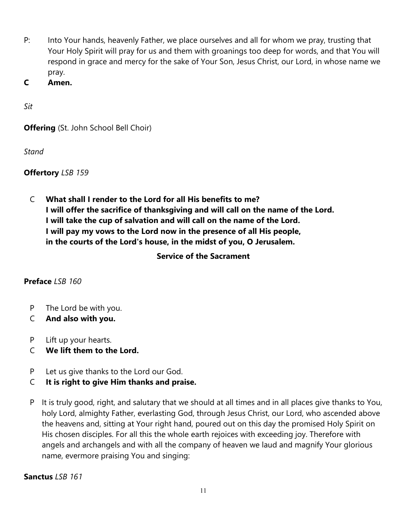- P: Into Your hands, heavenly Father, we place ourselves and all for whom we pray, trusting that Your Holy Spirit will pray for us and them with groanings too deep for words, and that You will respond in grace and mercy for the sake of Your Son, Jesus Christ, our Lord, in whose name we pray.
- **C Amen.**

*Sit*

**Offering** (St. John School Bell Choir)

*Stand*

**Offertory** *LSB 159*

C **What shall I render to the Lord for all His benefits to me? I will offer the sacrifice of thanksgiving and will call on the name of the Lord. I will take the cup of salvation and will call on the name of the Lord. I will pay my vows to the Lord now in the presence of all His people, in the courts of the Lord's house, in the midst of you, O Jerusalem.**

**Service of the Sacrament**

**Preface** *LSB 160*

- P The Lord be with you.
- C **And also with you.**
- P Lift up your hearts.
- C **We lift them to the Lord.**
- P Let us give thanks to the Lord our God.
- C **It is right to give Him thanks and praise.**
- P It is truly good, right, and salutary that we should at all times and in all places give thanks to You, holy Lord, almighty Father, everlasting God, through Jesus Christ, our Lord, who ascended above the heavens and, sitting at Your right hand, poured out on this day the promised Holy Spirit on His chosen disciples. For all this the whole earth rejoices with exceeding joy. Therefore with angels and archangels and with all the company of heaven we laud and magnify Your glorious name, evermore praising You and singing:

**Sanctus** *LSB 161*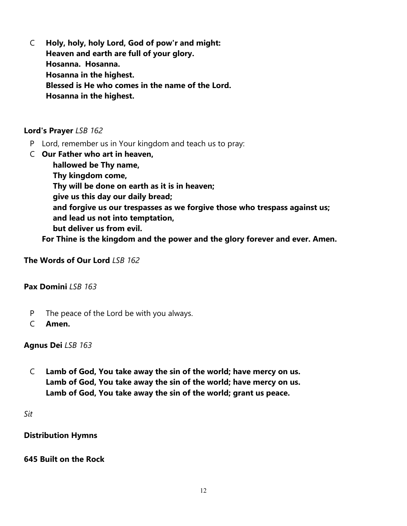C **Holy, holy, holy Lord, God of pow'r and might: Heaven and earth are full of your glory. Hosanna. Hosanna. Hosanna in the highest. Blessed is He who comes in the name of the Lord. Hosanna in the highest.**

#### **Lord's Prayer** *LSB 162*

- P Lord, remember us in Your kingdom and teach us to pray:
- C **Our Father who art in heaven,**

 **hallowed be Thy name, Thy kingdom come, Thy will be done on earth as it is in heaven; give us this day our daily bread; and forgive us our trespasses as we forgive those who trespass against us; and lead us not into temptation, but deliver us from evil.**

**For Thine is the kingdom and the power and the glory forever and ever. Amen.**

**The Words of Our Lord** *LSB 162*

**Pax Domini** *LSB 163*

- P The peace of the Lord be with you always.
- C **Amen.**

**Agnus Dei** *LSB 163*

C **Lamb of God, You take away the sin of the world; have mercy on us. Lamb of God, You take away the sin of the world; have mercy on us. Lamb of God, You take away the sin of the world; grant us peace.**

*Sit*

**Distribution Hymns**

**645 Built on the Rock**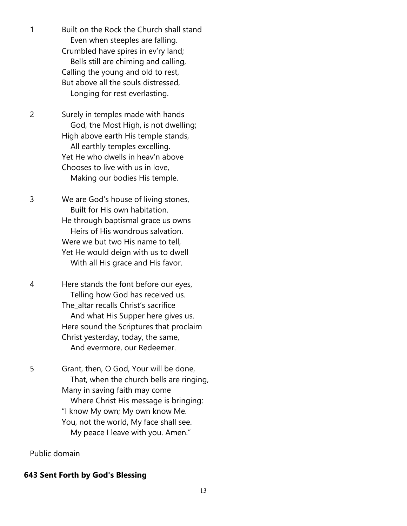1 Built on the Rock the Church shall stand Even when steeples are falling. Crumbled have spires in ev'ry land; Bells still are chiming and calling, Calling the young and old to rest, But above all the souls distressed, Longing for rest everlasting.

2 Surely in temples made with hands God, the Most High, is not dwelling; High above earth His temple stands, All earthly temples excelling. Yet He who dwells in heav'n above Chooses to live with us in love, Making our bodies His temple.

3 We are God's house of living stones, Built for His own habitation. He through baptismal grace us owns Heirs of His wondrous salvation. Were we but two His name to tell, Yet He would deign with us to dwell With all His grace and His favor.

4 Here stands the font before our eyes, Telling how God has received us. The\_altar recalls Christ's sacrifice And what His Supper here gives us. Here sound the Scriptures that proclaim Christ yesterday, today, the same, And evermore, our Redeemer.

5 Grant, then, O God, Your will be done, That, when the church bells are ringing, Many in saving faith may come Where Christ His message is bringing: "I know My own; My own know Me. You, not the world, My face shall see. My peace I leave with you. Amen."

Public domain

#### **643 Sent Forth by God's Blessing**

13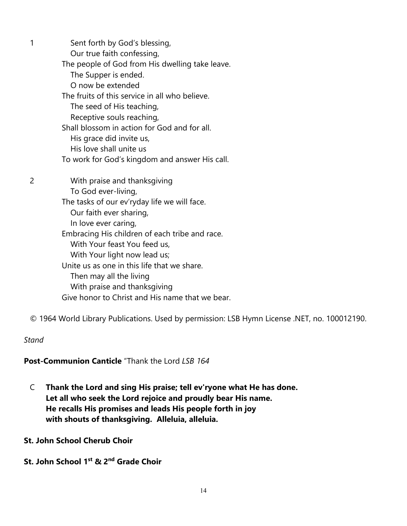1 Sent forth by God's blessing, Our true faith confessing, The people of God from His dwelling take leave. The Supper is ended. O now be extended The fruits of this service in all who believe. The seed of His teaching, Receptive souls reaching, Shall blossom in action for God and for all. His grace did invite us, His love shall unite us To work for God's kingdom and answer His call. 2 With praise and thanksgiving To God ever-living, The tasks of our ev'ryday life we will face. Our faith ever sharing, In love ever caring, Embracing His children of each tribe and race. With Your feast You feed us, With Your light now lead us; Unite us as one in this life that we share.

 Then may all the living With praise and thanksgiving Give honor to Christ and His name that we bear.

© 1964 World Library Publications. Used by permission: LSB Hymn License .NET, no. 100012190.

#### *Stand*

**Post-Communion Canticle** "Thank the Lord *LSB 164*

- C **Thank the Lord and sing His praise; tell ev'ryone what He has done. Let all who seek the Lord rejoice and proudly bear His name. He recalls His promises and leads His people forth in joy with shouts of thanksgiving. Alleluia, alleluia.**
- **St. John School Cherub Choir**
- **St. John School 1st & 2nd Grade Choir**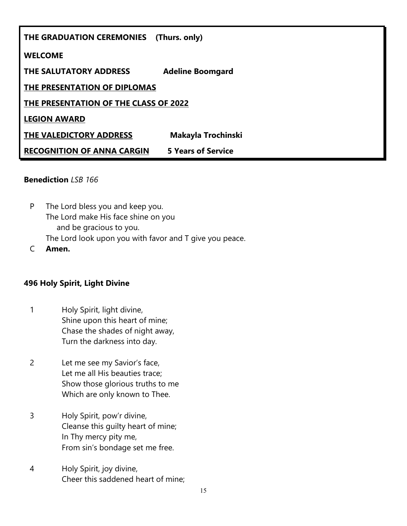| THE GRADUATION CEREMONIES<br>(Thurs. only) |                           |  |
|--------------------------------------------|---------------------------|--|
| <b>WELCOME</b>                             |                           |  |
| THE SALUTATORY ADDRESS                     | <b>Adeline Boomgard</b>   |  |
| THE PRESENTATION OF DIPLOMAS               |                           |  |
| THE PRESENTATION OF THE CLASS OF 2022      |                           |  |
| <b>LEGION AWARD</b>                        |                           |  |
| THE VALEDICTORY ADDRESS                    | Makayla Trochinski        |  |
| <b>RECOGNITION OF ANNA CARGIN</b>          | <b>5 Years of Service</b> |  |

#### **Benediction** *LSB 166*

- P The Lord bless you and keep you. The Lord make His face shine on you and be gracious to you. The Lord look upon you with favor and T give you peace.
- C **Amen.**

#### **496 Holy Spirit, Light Divine**

- 1 Holy Spirit, light divine, Shine upon this heart of mine; Chase the shades of night away, Turn the darkness into day.
- 2 Let me see my Savior's face, Let me all His beauties trace; Show those glorious truths to me Which are only known to Thee.
- 3 Holy Spirit, pow'r divine, Cleanse this guilty heart of mine; In Thy mercy pity me, From sin's bondage set me free.
- 4 Holy Spirit, joy divine, Cheer this saddened heart of mine;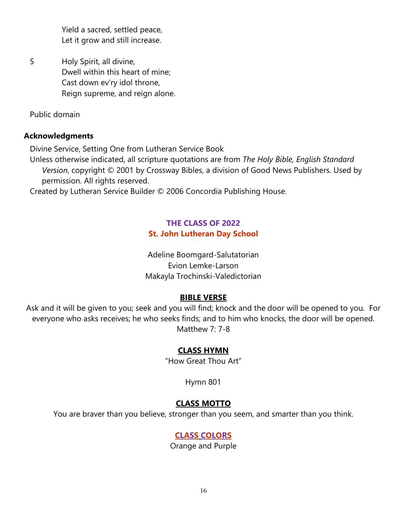Yield a sacred, settled peace, Let it grow and still increase.

5 Holy Spirit, all divine, Dwell within this heart of mine; Cast down ev'ry idol throne, Reign supreme, and reign alone.

Public domain

#### **Acknowledgments**

Divine Service, Setting One from Lutheran Service Book

Unless otherwise indicated, all scripture quotations are from *The Holy Bible, English Standard Version*, copyright © 2001 by Crossway Bibles, a division of Good News Publishers. Used by permission. All rights reserved.

Created by Lutheran Service Builder © 2006 Concordia Publishing House.

# **THE CLASS OF 2022 St. John Lutheran Day School**

Adeline Boomgard-Salutatorian Evion Lemke-Larson Makayla Trochinski-Valedictorian

#### **BIBLE VERSE**

Ask and it will be given to you; seek and you will find; knock and the door will be opened to you. For everyone who asks receives; he who seeks finds; and to him who knocks, the door will be opened. Matthew 7: 7-8

#### **CLASS HYMN**

"How Great Thou Art"

Hymn 801

#### **CLASS MOTTO**

You are braver than you believe, stronger than you seem, and smarter than you think.

#### **CLASS COLORS**

Orange and Purple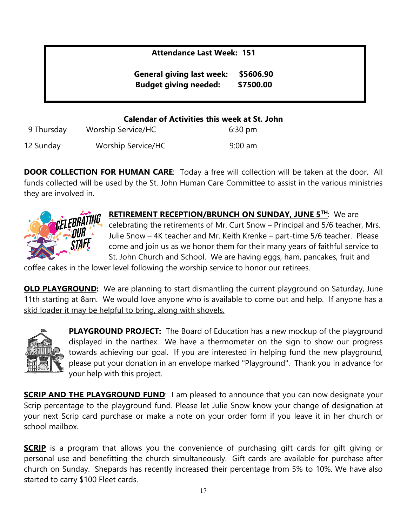# **Attendance Last Week: 151**

**General giving last week: \$5606.90 Budget giving needed: \$7500.00**

### **Calendar of Activities this week at St. John**

| 9 Thursday | <b>Worship Service/HC</b> | $6:30 \text{ pm}$ |
|------------|---------------------------|-------------------|
| 12 Sunday  | <b>Worship Service/HC</b> | $9:00$ am         |

**DOOR COLLECTION FOR HUMAN CARE:** Today a free will collection will be taken at the door. All funds collected will be used by the St. John Human Care Committee to assist in the various ministries they are involved in.



**RETIREMENT RECEPTION/BRUNCH ON SUNDAY, JUNE 5TH**: We are celebrating the retirements of Mr. Curt Snow – Principal and 5/6 teacher, Mrs. Julie Snow – 4K teacher and Mr. Keith Krenke – part-time 5/6 teacher. Please come and join us as we honor them for their many years of faithful service to St. John Church and School. We are having eggs, ham, pancakes, fruit and

coffee cakes in the lower level following the worship service to honor our retirees.

**OLD PLAYGROUND:** We are planning to start dismantling the current playground on Saturday, June 11th starting at 8am. We would love anyone who is available to come out and help. If anyone has a skid loader it may be helpful to bring, along with shovels.



**PLAYGROUND PROJECT:** The Board of Education has a new mockup of the playground displayed in the narthex. We have a thermometer on the sign to show our progress towards achieving our goal. If you are interested in helping fund the new playground, please put your donation in an envelope marked "Playground". Thank you in advance for your help with this project.

**SCRIP AND THE PLAYGROUND FUND:** I am pleased to announce that you can now designate your Scrip percentage to the playground fund. Please let Julie Snow know your change of designation at your next Scrip card purchase or make a note on your order form if you leave it in her church or school mailbox.

**SCRIP** is a program that allows you the convenience of purchasing gift cards for gift giving or personal use and benefitting the church simultaneously. Gift cards are available for purchase after church on Sunday. Shepards has recently increased their percentage from 5% to 10%. We have also started to carry \$100 Fleet cards.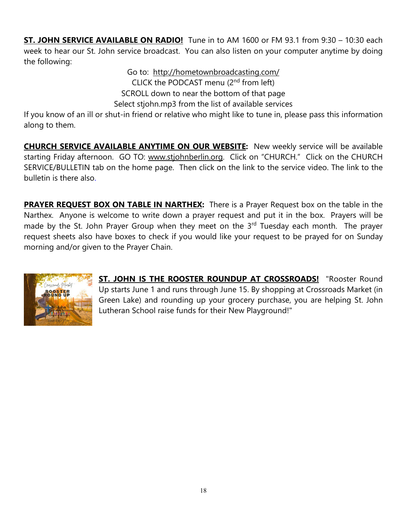**ST. JOHN SERVICE AVAILABLE ON RADIO!** Tune in to AM 1600 or FM 93.1 from 9:30 – 10:30 each week to hear our St. John service broadcast. You can also listen on your computer anytime by doing the following:

> Go to: <http://hometownbroadcasting.com/> CLICK the PODCAST menu  $(2^{nd}$  from left) SCROLL down to near the bottom of that page Select stjohn.mp3 from the list of available services

If you know of an ill or shut-in friend or relative who might like to tune in, please pass this information along to them.

**CHURCH SERVICE AVAILABLE ANYTIME ON OUR WEBSITE:** New weekly service will be available starting Friday afternoon. GO TO: [www.stjohnberlin.org.](http://www.stjohnberlin.org/) Click on "CHURCH." Click on the CHURCH SERVICE/BULLETIN tab on the home page. Then click on the link to the service video. The link to the bulletin is there also.

**PRAYER REQUEST BOX ON TABLE IN NARTHEX:** There is a Prayer Request box on the table in the Narthex. Anyone is welcome to write down a prayer request and put it in the box. Prayers will be made by the St. John Prayer Group when they meet on the 3<sup>rd</sup> Tuesday each month. The prayer request sheets also have boxes to check if you would like your request to be prayed for on Sunday morning and/or given to the Prayer Chain.



**ST. JOHN IS THE ROOSTER ROUNDUP AT CROSSROADS!** "Rooster Round Up starts June 1 and runs through June 15. By shopping at Crossroads Market (in Green Lake) and rounding up your grocery purchase, you are helping St. John Lutheran School raise funds for their New Playground!"